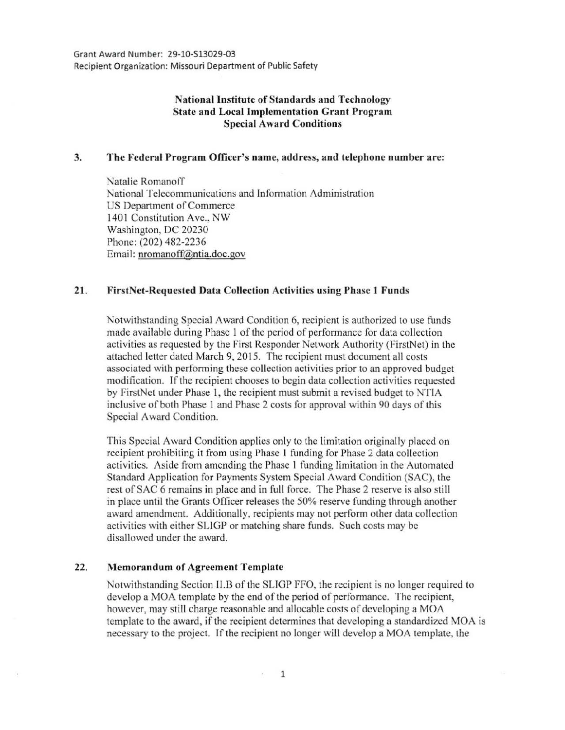# National Institute of Standards and Technology State and Local Implementation Grant Program Special Award Conditions

### 3. The Federal Program Officer's name, address, and telephone number a re:

Natalie Romanoff National Telecommunications and Information Administration US Department of Commerce 1401 Constitution Ave., NW Washington, DC 20230 Phone: (202) 482-2236 Email: nromanoff@ntia.doc.gov

### 21. FirstNet-Requested Data Collection Activities using Phase 1 Funds

Notwithstanding Special Award Condition 6, recipient is authorized to use funds made available during Phase 1 of the period of performance for data collection activities as requested by the First Responder Network Authority (FirstNet) in the attached letter dated March 9, 2015. The recipient must document all costs associated with performing these collection activities prior to an approved budget modification. If the recipient chooses to begin data collection activities requested by FirstNet under Phase 1, the recipient must submit a revised budget to NTIA inclusive of both Phase I and Phase 2 costs for approval within 90 days of this Special Award Condition.

This Special Award Condition applies only to the limitation originally placed on recipient prohibiting it from using Phase I funding for Phase 2 data collection activities. Aside from amending the Phase I funding limitation in the Automated Standard Application for Payments System Special Award Condition (SAC), the rest of SAC 6 remains in place and in full force. The Phase 2 reserve is also still in place until the Grants Officer releases the 50% reserve funding through another award amendment. Additionally, recipients may not perform other data collection activities with either SLIGP or matching share funds. Such costs may be disallowed under the award.

### 22. Memorandum of Agreement Template

Notwithstanding Section Il.B of the SLIGP FFO, the recipient is no longer required to develop a MOA template by the end of the period of performance. The recipient, however, may still charge reasonable and allocable costs of developing a MOA template to the award, if the recipient determines that developing a standardized MOA is necessary to the project. If the recipient no longer will develop a MOA template, the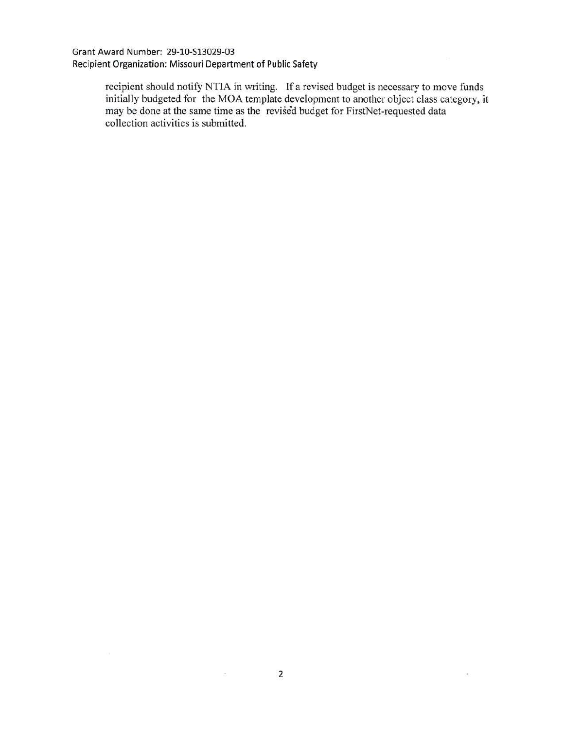## Grant Award Number: 29-10-513029-03 Recipient Organization: Missouri Department of Public Safety

recipient should notify NTIA in writing. If a revised budget is necessary to move funds initially budgeted for the MOA template development to another object class category, it may be done at the same time as the revised budget for FirstNet-requested data collection activities is submitted.

 $-0.5\%$ 

 $\frac{\partial \mathbf{m}}{\partial \mathbf{r}} = \frac{\partial \mathbf{m}}{\partial \mathbf{r}} \mathbf{r} + \frac{\partial \mathbf{m}}{\partial \mathbf{r}} \mathbf{r} + \frac{\partial \mathbf{m}}{\partial \mathbf{r}} \mathbf{r} + \frac{\partial \mathbf{m}}{\partial \mathbf{r}} \mathbf{r} + \frac{\partial \mathbf{m}}{\partial \mathbf{r}} \mathbf{r} + \frac{\partial \mathbf{m}}{\partial \mathbf{r}} \mathbf{r} + \frac{\partial \mathbf{m}}{\partial \mathbf{r}} \mathbf{r} + \frac{\partial \mathbf{m}}{\partial \mathbf{r}} \mathbf{r} + \$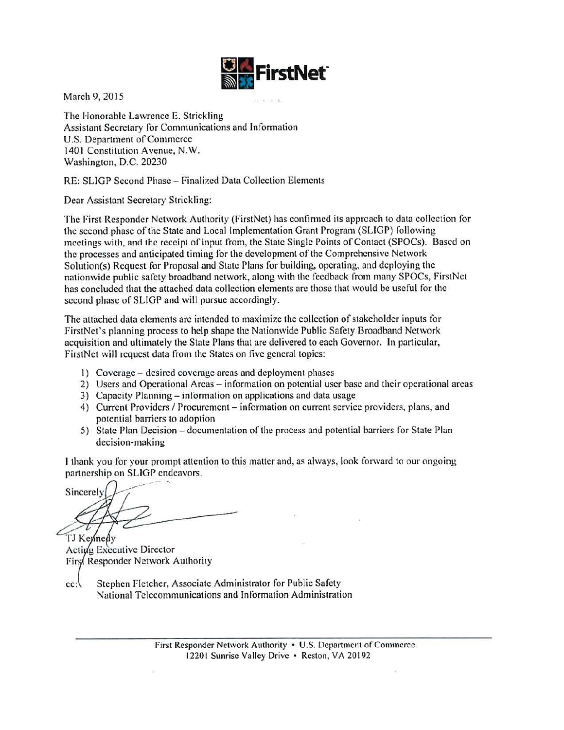

March 9, 2015

The Honorable Lawrence E. Strickling Assistant Secretary for Communications and Information U.S. Department of Commerce 1401 Constitution Avenue, N.W. Washington, D.C. 20230

RE: SLIGP Second Phase- Finalized Data Collection Elements

Dear Assistant Secretary Strickling:

The First Responder Network Authority (FirstNet) has confirmed its approach to data collection for the second phase of the State and Local Implementation Grant Program (SLIGP) following meetings with, and the receipt of input from, the State Single Points of Contact (SPOCs). Based on the processes and anticipated timing for the development of the Comprehensive Network Solution(s) Request for Proposal and State Plans for building, operating, and deploying the nationwide public safety broadband network, along with the feedback from many SPOCs, FirstNct has concluded that the attached data collection clements arc those that would be useful for the second phase of SLIGP and will pursue accordingly.

The attached data clements arc intended to maximize the collection of stakeholder inputs for FirstNct's planning process to help shape the Nationwide Public Safety Broadband Network acquisition and ultimately the State Plans that are delivered to each Governor. In particular, FirstNct will request data from the States on five general topics:

- 1) Coverage desired coverage areas and deployment phases
- 2) Users and Operational Areas information on potential user base and their operational areas
- 3) Capacity Planning- information on applications and data usage
- 4) Current Providers / Procurement information on current service providers, plans, and potential barriers to adoption
- 5) State Plan Decision documentation of the process and potential barriers for State Plan decision-making

I thank you for your prompt attention to this matter and, as always, look forward lo our ongoing

partnership on SLIGP endeavors.<br>Sincerely TJ Kennedy

Acting Executive Director First Responder Network Authority

cc: Stephen Fletcher, Associate Administrator for Public Safety National Telecommunications and Information Administration